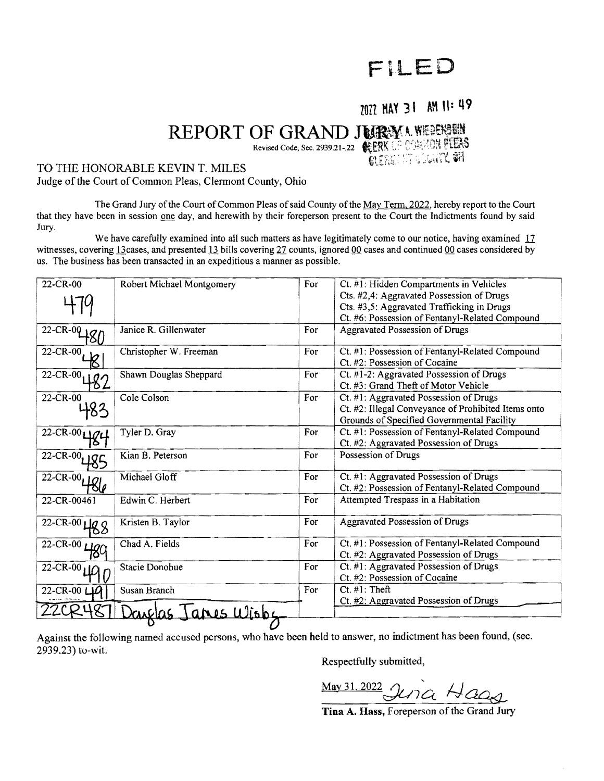# FiLED

### 2022 MAY 31 AM 11: 49

## REPORT OF GRAND JURYA WEEKEEN Revised Code, Sec, 2939.21-.22 **NERRET COARD TERS**

#### TO THE HONORABLE KEVIN T. MILES

Judge of the Court of Common Pleas, Clermont County, Ohio

The Grand Jury of the Court of Common Pleas of said County of the May Term, 2022, hereby report to the Court that they have been in session one day, and herewith by their foreperson present to the Court the Indictments found by said Jury.

We have carefully examined into all such matters as have legitimately come to our notice, having examined 17 witnesses, covering 13 cases, and presented 13 bills covering  $27$  counts, ignored 00 cases and continued 00 cases considered by us. The business has been transacted in an expeditious a manner as possible.

| $22 - CR - 021Q$<br>22-CR-00<br>$22 - CR - 00$ | Janice R. Gillenwater<br>Christopher W. Freeman<br>Shawn Douglas Sheppard<br>Cole Colson | For<br>For<br>For | Cts. #2,4: Aggravated Possession of Drugs<br>Cts. #3,5: Aggravated Trafficking in Drugs<br>Ct. #6: Possession of Fentanyl-Related Compound<br><b>Aggravated Possession of Drugs</b><br>Ct. #1: Possession of Fentanyl-Related Compound<br>Ct. #2: Possession of Cocaine<br>Ct. #1-2: Aggravated Possession of Drugs |
|------------------------------------------------|------------------------------------------------------------------------------------------|-------------------|---------------------------------------------------------------------------------------------------------------------------------------------------------------------------------------------------------------------------------------------------------------------------------------------------------------------|
|                                                |                                                                                          |                   |                                                                                                                                                                                                                                                                                                                     |
|                                                |                                                                                          |                   |                                                                                                                                                                                                                                                                                                                     |
|                                                |                                                                                          |                   |                                                                                                                                                                                                                                                                                                                     |
|                                                |                                                                                          |                   |                                                                                                                                                                                                                                                                                                                     |
|                                                |                                                                                          |                   |                                                                                                                                                                                                                                                                                                                     |
|                                                |                                                                                          |                   | Ct. #3: Grand Theft of Motor Vehicle                                                                                                                                                                                                                                                                                |
| 22-CR-00                                       |                                                                                          | For               | Ct. #1: Aggravated Possession of Drugs                                                                                                                                                                                                                                                                              |
|                                                |                                                                                          |                   | Ct. #2: Illegal Conveyance of Prohibited Items onto                                                                                                                                                                                                                                                                 |
|                                                |                                                                                          |                   | Grounds of Specified Governmental Facility                                                                                                                                                                                                                                                                          |
| $22 - CR - 00$                                 | Tyler D. Gray                                                                            | For               | Ct. #1: Possession of Fentanyl-Related Compound                                                                                                                                                                                                                                                                     |
|                                                |                                                                                          |                   | Ct. #2: Aggravated Possession of Drugs                                                                                                                                                                                                                                                                              |
| 22-CR-00 <sub>117</sub>                        | Kian B. Peterson                                                                         | For               | Possession of Drugs                                                                                                                                                                                                                                                                                                 |
| $22-CR-00$ $486$                               | Michael Gloff                                                                            | For               | Ct. #1: Aggravated Possession of Drugs                                                                                                                                                                                                                                                                              |
|                                                |                                                                                          |                   | Ct. #2: Possession of Fentanyl-Related Compound                                                                                                                                                                                                                                                                     |
| 22-CR-00461                                    | Edwin C. Herbert                                                                         | For               | Attempted Trespass in a Habitation                                                                                                                                                                                                                                                                                  |
| 22-CR-00 $\text{LQ}$ Q                         | Kristen B. Taylor                                                                        | For               | Aggravated Possession of Drugs                                                                                                                                                                                                                                                                                      |
| $\sqrt{22-CR-00}$ Hg                           | Chad A. Fields                                                                           | For               | Ct. #1: Possession of Fentanyl-Related Compound                                                                                                                                                                                                                                                                     |
|                                                |                                                                                          |                   | Ct. #2: Aggravated Possession of Drugs                                                                                                                                                                                                                                                                              |
| $22 - CR - 00$                                 | <b>Stacie Donohue</b>                                                                    | For               | Ct. #1: Aggravated Possession of Drugs                                                                                                                                                                                                                                                                              |
|                                                |                                                                                          |                   | Ct. #2: Possession of Cocaine                                                                                                                                                                                                                                                                                       |
| 22-CR-00 LIQ                                   | Susan Branch                                                                             | For               | $Ct.$ #1: Theft                                                                                                                                                                                                                                                                                                     |
|                                                |                                                                                          |                   | Ct. #2: Aggravated Possession of Drugs                                                                                                                                                                                                                                                                              |
|                                                | anes Wisby                                                                               |                   |                                                                                                                                                                                                                                                                                                                     |
|                                                |                                                                                          |                   |                                                                                                                                                                                                                                                                                                                     |

Against the following named accused persons, who have been held to answer, no indictment has been found, (sec. 2939.23) to-wit:

Respectfully submitted,

 $\frac{\text{May 31,2022}}{\text{Myra}}$  Hags

Tina A. Hass, Foreperson of the Grand Jury